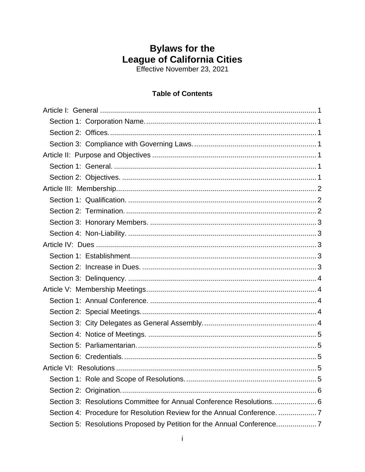# **Bylaws for the** League of California Cities<br>Effective November 23, 2021

## **Table of Contents**

| Section 3: Resolutions Committee for Annual Conference Resolutions 6 |
|----------------------------------------------------------------------|
|                                                                      |
|                                                                      |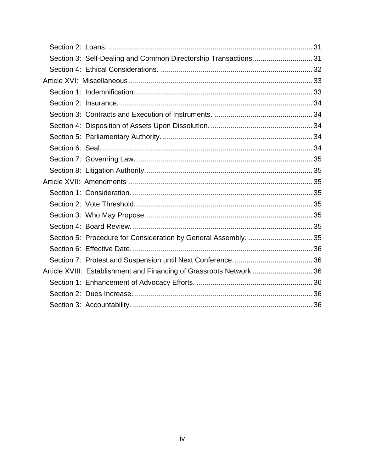| Section 3: Self-Dealing and Common Directorship Transactions 31      |  |
|----------------------------------------------------------------------|--|
|                                                                      |  |
|                                                                      |  |
|                                                                      |  |
|                                                                      |  |
|                                                                      |  |
|                                                                      |  |
|                                                                      |  |
|                                                                      |  |
|                                                                      |  |
|                                                                      |  |
|                                                                      |  |
|                                                                      |  |
|                                                                      |  |
|                                                                      |  |
|                                                                      |  |
| Section 5: Procedure for Consideration by General Assembly.  35      |  |
|                                                                      |  |
|                                                                      |  |
| Article XVIII: Establishment and Financing of Grassroots Network  36 |  |
|                                                                      |  |
|                                                                      |  |
|                                                                      |  |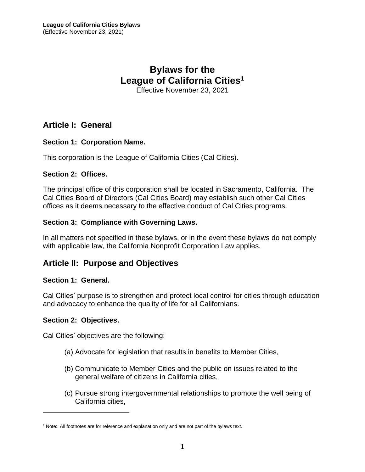## **Bylaws for the League of California Cities<sup>1</sup>**

Effective November 23, 2021

## <span id="page-4-0"></span>**Article I: General**

#### <span id="page-4-1"></span>**Section 1: Corporation Name.**

This corporation is the League of California Cities (Cal Cities).

#### <span id="page-4-2"></span>**Section 2: Offices.**

The principal office of this corporation shall be located in Sacramento, California. The Cal Cities Board of Directors (Cal Cities Board) may establish such other Cal Cities offices as it deems necessary to the effective conduct of Cal Cities programs.

#### <span id="page-4-3"></span>**Section 3: Compliance with Governing Laws.**

In all matters not specified in these bylaws, or in the event these bylaws do not comply with applicable law, the California Nonprofit Corporation Law applies.

## <span id="page-4-4"></span>**Article II: Purpose and Objectives**

#### <span id="page-4-5"></span>**Section 1: General.**

Cal Cities' purpose is to strengthen and protect local control for cities through education and advocacy to enhance the quality of life for all Californians.

#### <span id="page-4-6"></span>**Section 2: Objectives.**

Cal Cities' objectives are the following:

- (a) Advocate for legislation that results in benefits to Member Cities,
- (b) Communicate to Member Cities and the public on issues related to the general welfare of citizens in California cities,
- (c) Pursue strong intergovernmental relationships to promote the well being of California cities,

<sup>&</sup>lt;sup>1</sup> Note: All footnotes are for reference and explanation only and are not part of the bylaws text.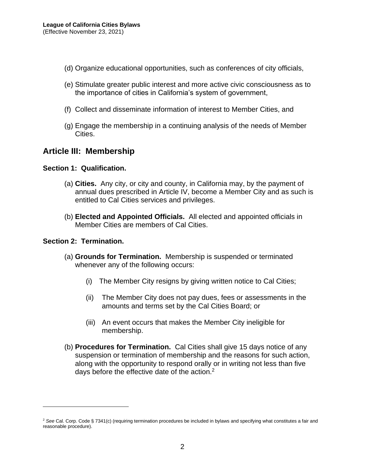- (d) Organize educational opportunities, such as conferences of city officials,
- (e) Stimulate greater public interest and more active civic consciousness as to the importance of cities in California's system of government,
- (f) Collect and disseminate information of interest to Member Cities, and
- (g) Engage the membership in a continuing analysis of the needs of Member Cities.

## <span id="page-5-0"></span>**Article III: Membership**

#### <span id="page-5-1"></span>**Section 1: Qualification.**

- (a) **Cities.** Any city, or city and county, in California may, by the payment of annual dues prescribed in Article IV, become a Member City and as such is entitled to Cal Cities services and privileges.
- (b) **Elected and Appointed Officials.** All elected and appointed officials in Member Cities are members of Cal Cities.

#### <span id="page-5-2"></span>**Section 2: Termination.**

- (a) **Grounds for Termination.** Membership is suspended or terminated whenever any of the following occurs:
	- (i) The Member City resigns by giving written notice to Cal Cities;
	- (ii) The Member City does not pay dues, fees or assessments in the amounts and terms set by the Cal Cities Board; or
	- (iii) An event occurs that makes the Member City ineligible for membership.
- (b) **Procedures for Termination.** Cal Cities shall give 15 days notice of any suspension or termination of membership and the reasons for such action, along with the opportunity to respond orally or in writing not less than five days before the effective date of the action. $2$

<sup>2</sup> *See* Cal. Corp. Code § 7341(c) (requiring termination procedures be included in bylaws and specifying what constitutes a fair and reasonable procedure).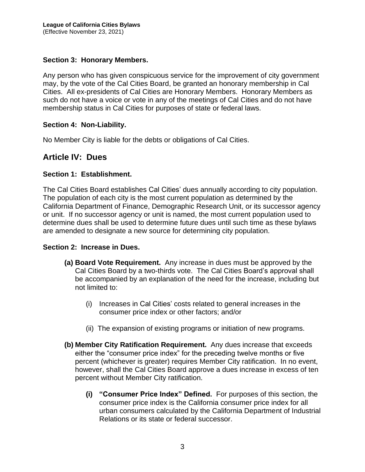#### <span id="page-6-0"></span>**Section 3: Honorary Members.**

Any person who has given conspicuous service for the improvement of city government may, by the vote of the Cal Cities Board, be granted an honorary membership in Cal Cities. All ex-presidents of Cal Cities are Honorary Members. Honorary Members as such do not have a voice or vote in any of the meetings of Cal Cities and do not have membership status in Cal Cities for purposes of state or federal laws.

#### <span id="page-6-1"></span>**Section 4: Non-Liability.**

No Member City is liable for the debts or obligations of Cal Cities.

## <span id="page-6-2"></span>**Article IV: Dues**

#### <span id="page-6-3"></span>**Section 1: Establishment.**

The Cal Cities Board establishes Cal Cities' dues annually according to city population. The population of each city is the most current population as determined by the California Department of Finance, Demographic Research Unit, or its successor agency or unit. If no successor agency or unit is named, the most current population used to determine dues shall be used to determine future dues until such time as these bylaws are amended to designate a new source for determining city population.

#### <span id="page-6-4"></span>**Section 2: Increase in Dues.**

- **(a) Board Vote Requirement.** Any increase in dues must be approved by the Cal Cities Board by a two-thirds vote. The Cal Cities Board's approval shall be accompanied by an explanation of the need for the increase, including but not limited to:
	- (i) Increases in Cal Cities' costs related to general increases in the consumer price index or other factors; and/or
	- (ii) The expansion of existing programs or initiation of new programs.
- **(b) Member City Ratification Requirement.** Any dues increase that exceeds either the "consumer price index" for the preceding twelve months or five percent (whichever is greater) requires Member City ratification. In no event, however, shall the Cal Cities Board approve a dues increase in excess of ten percent without Member City ratification.
	- **(i) "Consumer Price Index" Defined.** For purposes of this section, the consumer price index is the California consumer price index for all urban consumers calculated by the California Department of Industrial Relations or its state or federal successor.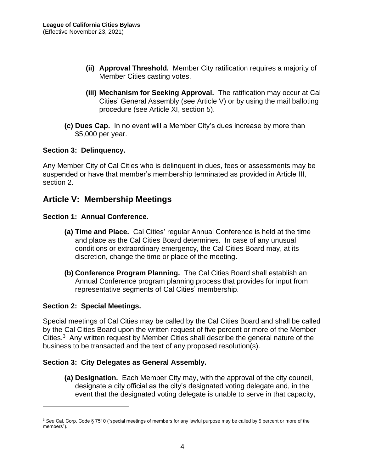- **(ii) Approval Threshold.** Member City ratification requires a majority of Member Cities casting votes.
- **(iii) Mechanism for Seeking Approval.** The ratification may occur at Cal Cities' General Assembly (see Article V) or by using the mail balloting procedure (see Article XI, section 5).
- **(c) Dues Cap.** In no event will a Member City's dues increase by more than \$5,000 per year.

#### <span id="page-7-0"></span>**Section 3: Delinquency.**

Any Member City of Cal Cities who is delinquent in dues, fees or assessments may be suspended or have that member's membership terminated as provided in Article III, section 2.

## <span id="page-7-1"></span>**Article V: Membership Meetings**

#### <span id="page-7-2"></span>**Section 1: Annual Conference.**

- **(a) Time and Place.** Cal Cities' regular Annual Conference is held at the time and place as the Cal Cities Board determines. In case of any unusual conditions or extraordinary emergency, the Cal Cities Board may, at its discretion, change the time or place of the meeting.
- **(b) Conference Program Planning.** The Cal Cities Board shall establish an Annual Conference program planning process that provides for input from representative segments of Cal Cities' membership.

#### <span id="page-7-3"></span>**Section 2: Special Meetings.**

Special meetings of Cal Cities may be called by the Cal Cities Board and shall be called by the Cal Cities Board upon the written request of five percent or more of the Member Cities.<sup>3</sup> Any written request by Member Cities shall describe the general nature of the business to be transacted and the text of any proposed resolution(s).

#### <span id="page-7-4"></span>**Section 3: City Delegates as General Assembly.**

**(a) Designation.** Each Member City may, with the approval of the city council, designate a city official as the city's designated voting delegate and, in the event that the designated voting delegate is unable to serve in that capacity,

<sup>3</sup> *See* Cal. Corp. Code § 7510 ("special meetings of members for any lawful purpose may be called by 5 percent or more of the members").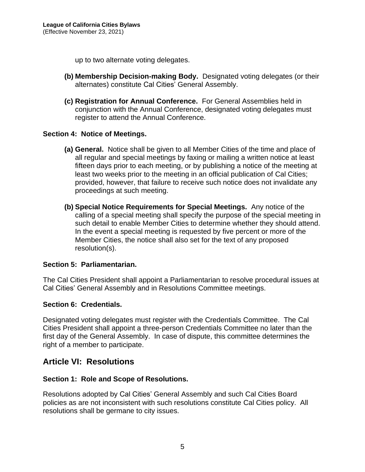up to two alternate voting delegates.

- **(b) Membership Decision-making Body.** Designated voting delegates (or their alternates) constitute Cal Cities' General Assembly.
- **(c) Registration for Annual Conference.** For General Assemblies held in conjunction with the Annual Conference, designated voting delegates must register to attend the Annual Conference.

#### <span id="page-8-0"></span>**Section 4: Notice of Meetings.**

- **(a) General.** Notice shall be given to all Member Cities of the time and place of all regular and special meetings by faxing or mailing a written notice at least fifteen days prior to each meeting, or by publishing a notice of the meeting at least two weeks prior to the meeting in an official publication of Cal Cities; provided, however, that failure to receive such notice does not invalidate any proceedings at such meeting.
- **(b) Special Notice Requirements for Special Meetings.** Any notice of the calling of a special meeting shall specify the purpose of the special meeting in such detail to enable Member Cities to determine whether they should attend. In the event a special meeting is requested by five percent or more of the Member Cities, the notice shall also set for the text of any proposed resolution(s).

#### <span id="page-8-1"></span>**Section 5: Parliamentarian.**

The Cal Cities President shall appoint a Parliamentarian to resolve procedural issues at Cal Cities' General Assembly and in Resolutions Committee meetings.

#### <span id="page-8-2"></span>**Section 6: Credentials.**

Designated voting delegates must register with the Credentials Committee. The Cal Cities President shall appoint a three-person Credentials Committee no later than the first day of the General Assembly. In case of dispute, this committee determines the right of a member to participate.

## <span id="page-8-3"></span>**Article VI: Resolutions**

#### <span id="page-8-4"></span>**Section 1: Role and Scope of Resolutions.**

Resolutions adopted by Cal Cities' General Assembly and such Cal Cities Board policies as are not inconsistent with such resolutions constitute Cal Cities policy. All resolutions shall be germane to city issues.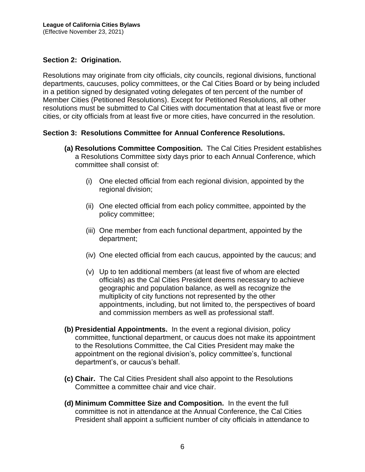#### <span id="page-9-0"></span>**Section 2: Origination.**

Resolutions may originate from city officials, city councils, regional divisions, functional departments, caucuses, policy committees, or the Cal Cities Board or by being included in a petition signed by designated voting delegates of ten percent of the number of Member Cities (Petitioned Resolutions). Except for Petitioned Resolutions, all other resolutions must be submitted to Cal Cities with documentation that at least five or more cities, or city officials from at least five or more cities, have concurred in the resolution.

#### <span id="page-9-1"></span>**Section 3: Resolutions Committee for Annual Conference Resolutions.**

- **(a) Resolutions Committee Composition.** The Cal Cities President establishes a Resolutions Committee sixty days prior to each Annual Conference, which committee shall consist of:
	- (i) One elected official from each regional division, appointed by the regional division;
	- (ii) One elected official from each policy committee, appointed by the policy committee;
	- (iii) One member from each functional department, appointed by the department;
	- (iv) One elected official from each caucus, appointed by the caucus; and
	- (v) Up to ten additional members (at least five of whom are elected officials) as the Cal Cities President deems necessary to achieve geographic and population balance, as well as recognize the multiplicity of city functions not represented by the other appointments, including, but not limited to, the perspectives of board and commission members as well as professional staff.
- **(b) Presidential Appointments.** In the event a regional division, policy committee, functional department, or caucus does not make its appointment to the Resolutions Committee, the Cal Cities President may make the appointment on the regional division's, policy committee's, functional department's, or caucus's behalf.
- **(c) Chair.** The Cal Cities President shall also appoint to the Resolutions Committee a committee chair and vice chair.
- **(d) Minimum Committee Size and Composition.** In the event the full committee is not in attendance at the Annual Conference, the Cal Cities President shall appoint a sufficient number of city officials in attendance to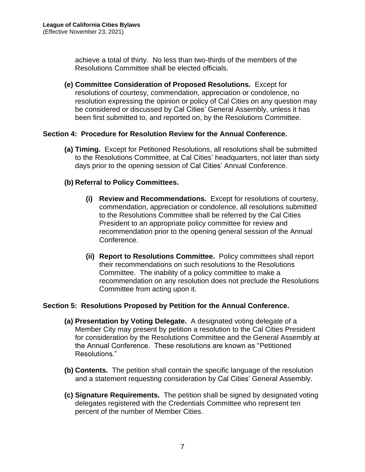achieve a total of thirty. No less than two-thirds of the members of the Resolutions Committee shall be elected officials.

**(e) Committee Consideration of Proposed Resolutions.** Except for resolutions of courtesy, commendation, appreciation or condolence, no resolution expressing the opinion or policy of Cal Cities on any question may be considered or discussed by Cal Cities' General Assembly, unless it has been first submitted to, and reported on, by the Resolutions Committee.

#### <span id="page-10-0"></span>**Section 4: Procedure for Resolution Review for the Annual Conference.**

**(a) Timing.** Except for Petitioned Resolutions, all resolutions shall be submitted to the Resolutions Committee, at Cal Cities' headquarters, not later than sixty days prior to the opening session of Cal Cities' Annual Conference.

#### **(b) Referral to Policy Committees.**

- **(i) Review and Recommendations.** Except for resolutions of courtesy, commendation, appreciation or condolence, all resolutions submitted to the Resolutions Committee shall be referred by the Cal Cities President to an appropriate policy committee for review and recommendation prior to the opening general session of the Annual Conference.
- **(ii) Report to Resolutions Committee.** Policy committees shall report their recommendations on such resolutions to the Resolutions Committee. The inability of a policy committee to make a recommendation on any resolution does not preclude the Resolutions Committee from acting upon it.

#### <span id="page-10-1"></span>**Section 5: Resolutions Proposed by Petition for the Annual Conference.**

- **(a) Presentation by Voting Delegate.** A designated voting delegate of a Member City may present by petition a resolution to the Cal Cities President for consideration by the Resolutions Committee and the General Assembly at the Annual Conference. These resolutions are known as "Petitioned Resolutions."
- **(b) Contents.** The petition shall contain the specific language of the resolution and a statement requesting consideration by Cal Cities' General Assembly.
- **(c) Signature Requirements.** The petition shall be signed by designated voting delegates registered with the Credentials Committee who represent ten percent of the number of Member Cities.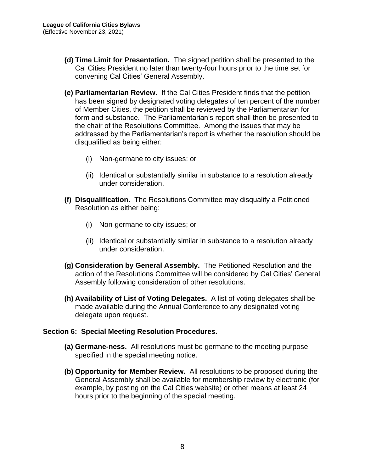- **(d) Time Limit for Presentation.** The signed petition shall be presented to the Cal Cities President no later than twenty-four hours prior to the time set for convening Cal Cities' General Assembly.
- **(e) Parliamentarian Review.** If the Cal Cities President finds that the petition has been signed by designated voting delegates of ten percent of the number of Member Cities, the petition shall be reviewed by the Parliamentarian for form and substance. The Parliamentarian's report shall then be presented to the chair of the Resolutions Committee. Among the issues that may be addressed by the Parliamentarian's report is whether the resolution should be disqualified as being either:
	- (i) Non-germane to city issues; or
	- (ii) Identical or substantially similar in substance to a resolution already under consideration.
- **(f) Disqualification.** The Resolutions Committee may disqualify a Petitioned Resolution as either being:
	- (i) Non-germane to city issues; or
	- (ii) Identical or substantially similar in substance to a resolution already under consideration.
- **(g) Consideration by General Assembly.** The Petitioned Resolution and the action of the Resolutions Committee will be considered by Cal Cities' General Assembly following consideration of other resolutions.
- **(h) Availability of List of Voting Delegates.** A list of voting delegates shall be made available during the Annual Conference to any designated voting delegate upon request.

#### <span id="page-11-0"></span>**Section 6: Special Meeting Resolution Procedures.**

- **(a) Germane-ness.** All resolutions must be germane to the meeting purpose specified in the special meeting notice.
- **(b) Opportunity for Member Review.** All resolutions to be proposed during the General Assembly shall be available for membership review by electronic (for example, by posting on the Cal Cities website) or other means at least 24 hours prior to the beginning of the special meeting.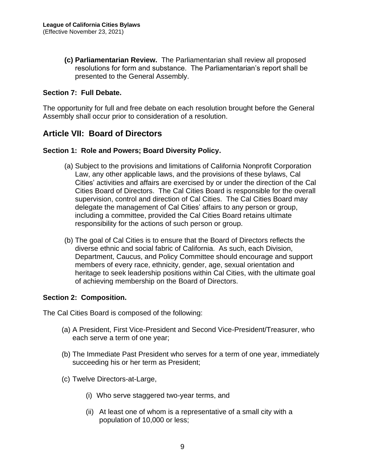**(c) Parliamentarian Review.** The Parliamentarian shall review all proposed resolutions for form and substance. The Parliamentarian's report shall be presented to the General Assembly.

#### <span id="page-12-0"></span>**Section 7: Full Debate.**

The opportunity for full and free debate on each resolution brought before the General Assembly shall occur prior to consideration of a resolution.

## <span id="page-12-1"></span>**Article VII: Board of Directors**

#### <span id="page-12-2"></span>**Section 1: Role and Powers; Board Diversity Policy.**

- (a) Subject to the provisions and limitations of California Nonprofit Corporation Law, any other applicable laws, and the provisions of these bylaws, Cal Cities' activities and affairs are exercised by or under the direction of the Cal Cities Board of Directors. The Cal Cities Board is responsible for the overall supervision, control and direction of Cal Cities. The Cal Cities Board may delegate the management of Cal Cities' affairs to any person or group, including a committee, provided the Cal Cities Board retains ultimate responsibility for the actions of such person or group.
- (b) The goal of Cal Cities is to ensure that the Board of Directors reflects the diverse ethnic and social fabric of California. As such, each Division, Department, Caucus, and Policy Committee should encourage and support members of every race, ethnicity, gender, age, sexual orientation and heritage to seek leadership positions within Cal Cities, with the ultimate goal of achieving membership on the Board of Directors.

#### <span id="page-12-3"></span>**Section 2: Composition.**

The Cal Cities Board is composed of the following:

- (a) A President, First Vice-President and Second Vice-President/Treasurer, who each serve a term of one year;
- (b) The Immediate Past President who serves for a term of one year, immediately succeeding his or her term as President;
- (c) Twelve Directors-at-Large,
	- (i) Who serve staggered two-year terms, and
	- (ii) At least one of whom is a representative of a small city with a population of 10,000 or less;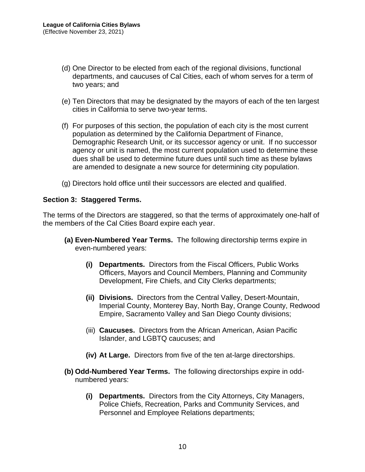- (d) One Director to be elected from each of the regional divisions, functional departments, and caucuses of Cal Cities, each of whom serves for a term of two years; and
- (e) Ten Directors that may be designated by the mayors of each of the ten largest cities in California to serve two-year terms.
- (f) For purposes of this section, the population of each city is the most current population as determined by the California Department of Finance, Demographic Research Unit, or its successor agency or unit. If no successor agency or unit is named, the most current population used to determine these dues shall be used to determine future dues until such time as these bylaws are amended to designate a new source for determining city population.
- (g) Directors hold office until their successors are elected and qualified.

#### <span id="page-13-0"></span>**Section 3: Staggered Terms.**

The terms of the Directors are staggered, so that the terms of approximately one-half of the members of the Cal Cities Board expire each year.

- **(a) Even-Numbered Year Terms.** The following directorship terms expire in even-numbered years:
	- **(i) Departments.** Directors from the Fiscal Officers, Public Works Officers, Mayors and Council Members, Planning and Community Development, Fire Chiefs, and City Clerks departments;
	- **(ii) Divisions.** Directors from the Central Valley, Desert-Mountain, Imperial County, Monterey Bay, North Bay, Orange County, Redwood Empire, Sacramento Valley and San Diego County divisions;
	- (iii) **Caucuses.** Directors from the African American, Asian Pacific Islander, and LGBTQ caucuses; and
	- **(iv) At Large.** Directors from five of the ten at-large directorships.
- **(b) Odd-Numbered Year Terms.** The following directorships expire in oddnumbered years:
	- **(i) Departments.** Directors from the City Attorneys, City Managers, Police Chiefs, Recreation, Parks and Community Services, and Personnel and Employee Relations departments;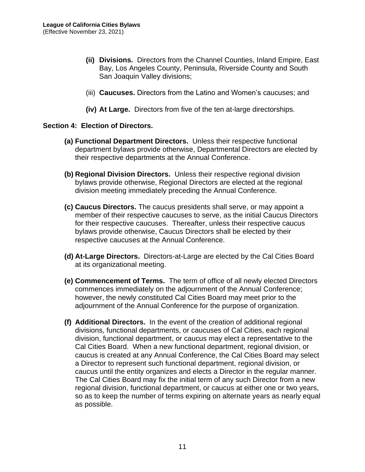- **(ii) Divisions.** Directors from the Channel Counties, Inland Empire, East Bay, Los Angeles County, Peninsula, Riverside County and South San Joaquin Valley divisions;
- (iii) **Caucuses.** Directors from the Latino and Women's caucuses; and
- **(iv) At Large.** Directors from five of the ten at-large directorships.

#### <span id="page-14-0"></span>**Section 4: Election of Directors.**

- **(a) Functional Department Directors.** Unless their respective functional department bylaws provide otherwise, Departmental Directors are elected by their respective departments at the Annual Conference.
- **(b) Regional Division Directors.** Unless their respective regional division bylaws provide otherwise, Regional Directors are elected at the regional division meeting immediately preceding the Annual Conference.
- **(c) Caucus Directors.** The caucus presidents shall serve, or may appoint a member of their respective caucuses to serve, as the initial Caucus Directors for their respective caucuses. Thereafter, unless their respective caucus bylaws provide otherwise, Caucus Directors shall be elected by their respective caucuses at the Annual Conference.
- **(d) At-Large Directors.** Directors-at-Large are elected by the Cal Cities Board at its organizational meeting.
- **(e) Commencement of Terms.** The term of office of all newly elected Directors commences immediately on the adjournment of the Annual Conference; however, the newly constituted Cal Cities Board may meet prior to the adjournment of the Annual Conference for the purpose of organization.
- **(f) Additional Directors.** In the event of the creation of additional regional divisions, functional departments, or caucuses of Cal Cities, each regional division, functional department, or caucus may elect a representative to the Cal Cities Board. When a new functional department, regional division, or caucus is created at any Annual Conference, the Cal Cities Board may select a Director to represent such functional department, regional division, or caucus until the entity organizes and elects a Director in the regular manner. The Cal Cities Board may fix the initial term of any such Director from a new regional division, functional department, or caucus at either one or two years, so as to keep the number of terms expiring on alternate years as nearly equal as possible.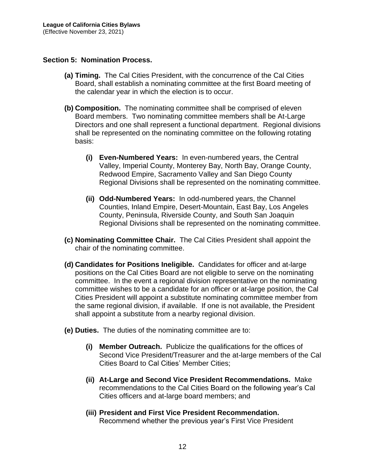#### <span id="page-15-0"></span>**Section 5: Nomination Process.**

- **(a) Timing.** The Cal Cities President, with the concurrence of the Cal Cities Board, shall establish a nominating committee at the first Board meeting of the calendar year in which the election is to occur.
- **(b) Composition.** The nominating committee shall be comprised of eleven Board members. Two nominating committee members shall be At-Large Directors and one shall represent a functional department. Regional divisions shall be represented on the nominating committee on the following rotating basis:
	- **(i) Even-Numbered Years:** In even-numbered years, the Central Valley, Imperial County, Monterey Bay, North Bay, Orange County, Redwood Empire, Sacramento Valley and San Diego County Regional Divisions shall be represented on the nominating committee.
	- **(ii) Odd-Numbered Years:** In odd-numbered years, the Channel Counties, Inland Empire, Desert-Mountain, East Bay, Los Angeles County, Peninsula, Riverside County, and South San Joaquin Regional Divisions shall be represented on the nominating committee.
- **(c) Nominating Committee Chair.** The Cal Cities President shall appoint the chair of the nominating committee.
- **(d) Candidates for Positions Ineligible.** Candidates for officer and at-large positions on the Cal Cities Board are not eligible to serve on the nominating committee. In the event a regional division representative on the nominating committee wishes to be a candidate for an officer or at-large position, the Cal Cities President will appoint a substitute nominating committee member from the same regional division, if available. If one is not available, the President shall appoint a substitute from a nearby regional division.
- **(e) Duties.** The duties of the nominating committee are to:
	- **(i) Member Outreach.** Publicize the qualifications for the offices of Second Vice President/Treasurer and the at-large members of the Cal Cities Board to Cal Cities' Member Cities;
	- **(ii) At-Large and Second Vice President Recommendations.** Make recommendations to the Cal Cities Board on the following year's Cal Cities officers and at-large board members; and
	- **(iii) President and First Vice President Recommendation.** Recommend whether the previous year's First Vice President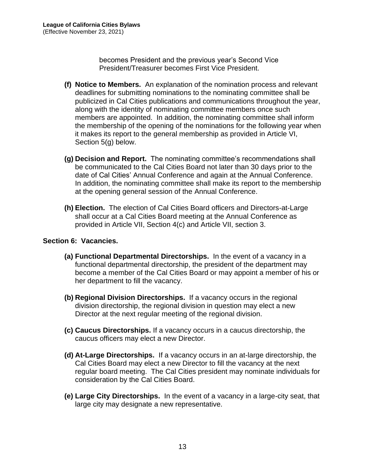becomes President and the previous year's Second Vice President/Treasurer becomes First Vice President.

- **(f) Notice to Members.** An explanation of the nomination process and relevant deadlines for submitting nominations to the nominating committee shall be publicized in Cal Cities publications and communications throughout the year, along with the identity of nominating committee members once such members are appointed. In addition, the nominating committee shall inform the membership of the opening of the nominations for the following year when it makes its report to the general membership as provided in Article VI, Section 5(g) below.
- **(g) Decision and Report.** The nominating committee's recommendations shall be communicated to the Cal Cities Board not later than 30 days prior to the date of Cal Cities' Annual Conference and again at the Annual Conference. In addition, the nominating committee shall make its report to the membership at the opening general session of the Annual Conference.
- **(h) Election.** The election of Cal Cities Board officers and Directors-at-Large shall occur at a Cal Cities Board meeting at the Annual Conference as provided in Article VII, Section 4(c) and Article VII, section 3.

#### <span id="page-16-0"></span>**Section 6: Vacancies.**

- **(a) Functional Departmental Directorships.** In the event of a vacancy in a functional departmental directorship, the president of the department may become a member of the Cal Cities Board or may appoint a member of his or her department to fill the vacancy.
- **(b) Regional Division Directorships.** If a vacancy occurs in the regional division directorship, the regional division in question may elect a new Director at the next regular meeting of the regional division.
- **(c) Caucus Directorships.** If a vacancy occurs in a caucus directorship, the caucus officers may elect a new Director.
- **(d) At-Large Directorships.** If a vacancy occurs in an at-large directorship, the Cal Cities Board may elect a new Director to fill the vacancy at the next regular board meeting. The Cal Cities president may nominate individuals for consideration by the Cal Cities Board.
- **(e) Large City Directorships.** In the event of a vacancy in a large-city seat, that large city may designate a new representative.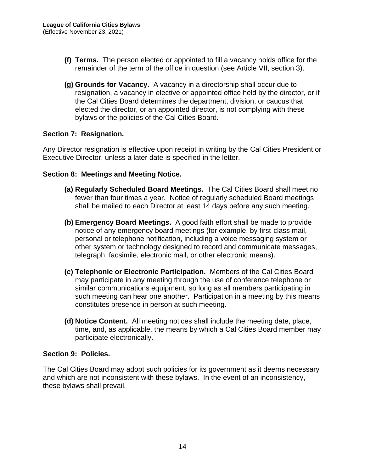- **(f) Terms.** The person elected or appointed to fill a vacancy holds office for the remainder of the term of the office in question (see Article VII, section 3).
- **(g) Grounds for Vacancy.** A vacancy in a directorship shall occur due to resignation, a vacancy in elective or appointed office held by the director, or if the Cal Cities Board determines the department, division, or caucus that elected the director, or an appointed director, is not complying with these bylaws or the policies of the Cal Cities Board.

#### <span id="page-17-0"></span>**Section 7: Resignation.**

Any Director resignation is effective upon receipt in writing by the Cal Cities President or Executive Director, unless a later date is specified in the letter.

#### <span id="page-17-1"></span>**Section 8: Meetings and Meeting Notice.**

- **(a) Regularly Scheduled Board Meetings.** The Cal Cities Board shall meet no fewer than four times a year. Notice of regularly scheduled Board meetings shall be mailed to each Director at least 14 days before any such meeting.
- **(b) Emergency Board Meetings.** A good faith effort shall be made to provide notice of any emergency board meetings (for example, by first-class mail, personal or telephone notification, including a voice messaging system or other system or technology designed to record and communicate messages, telegraph, facsimile, electronic mail, or other electronic means).
- **(c) Telephonic or Electronic Participation.** Members of the Cal Cities Board may participate in any meeting through the use of conference telephone or similar communications equipment, so long as all members participating in such meeting can hear one another. Participation in a meeting by this means constitutes presence in person at such meeting.
- **(d) Notice Content.** All meeting notices shall include the meeting date, place, time, and, as applicable, the means by which a Cal Cities Board member may participate electronically.

#### <span id="page-17-2"></span>**Section 9: Policies.**

The Cal Cities Board may adopt such policies for its government as it deems necessary and which are not inconsistent with these bylaws. In the event of an inconsistency, these bylaws shall prevail.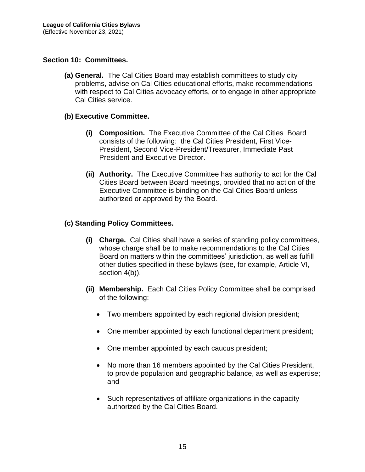#### <span id="page-18-0"></span>**Section 10: Committees.**

**(a) General.** The Cal Cities Board may establish committees to study city problems, advise on Cal Cities educational efforts, make recommendations with respect to Cal Cities advocacy efforts, or to engage in other appropriate Cal Cities service.

#### **(b) Executive Committee.**

- **(i) Composition.** The Executive Committee of the Cal Cities Board consists of the following: the Cal Cities President, First Vice-President, Second Vice-President/Treasurer, Immediate Past President and Executive Director.
- **(ii) Authority.** The Executive Committee has authority to act for the Cal Cities Board between Board meetings, provided that no action of the Executive Committee is binding on the Cal Cities Board unless authorized or approved by the Board.

#### **(c) Standing Policy Committees.**

- **(i) Charge.** Cal Cities shall have a series of standing policy committees, whose charge shall be to make recommendations to the Cal Cities Board on matters within the committees' jurisdiction, as well as fulfill other duties specified in these bylaws (see, for example, Article VI, section 4(b)).
- **(ii) Membership.** Each Cal Cities Policy Committee shall be comprised of the following:
	- Two members appointed by each regional division president;
	- One member appointed by each functional department president;
	- One member appointed by each caucus president;
	- No more than 16 members appointed by the Cal Cities President, to provide population and geographic balance, as well as expertise; and
	- Such representatives of affiliate organizations in the capacity authorized by the Cal Cities Board.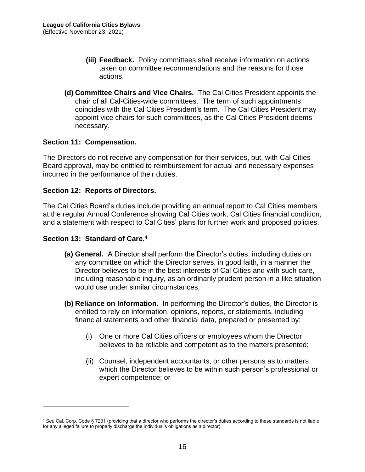- **(iii) Feedback.** Policy committees shall receive information on actions taken on committee recommendations and the reasons for those actions.
- **(d) Committee Chairs and Vice Chairs.** The Cal Cities President appoints the chair of all Cal-Cities-wide committees. The term of such appointments coincides with the Cal Cities President's term. The Cal Cities President may appoint vice chairs for such committees, as the Cal Cities President deems necessary.

#### <span id="page-19-0"></span>**Section 11: Compensation.**

The Directors do not receive any compensation for their services, but, with Cal Cities Board approval, may be entitled to reimbursement for actual and necessary expenses incurred in the performance of their duties.

#### <span id="page-19-1"></span>**Section 12: Reports of Directors.**

The Cal Cities Board's duties include providing an annual report to Cal Cities members at the regular Annual Conference showing Cal Cities work, Cal Cities financial condition, and a statement with respect to Cal Cities' plans for further work and proposed policies.

#### <span id="page-19-2"></span>**Section 13: Standard of Care.<sup>4</sup>**

- **(a) General.** A Director shall perform the Director's duties, including duties on any committee on which the Director serves, in good faith, in a manner the Director believes to be in the best interests of Cal Cities and with such care, including reasonable inquiry, as an ordinarily prudent person in a like situation would use under similar circumstances.
- **(b) Reliance on Information.** In performing the Director's duties, the Director is entitled to rely on information, opinions, reports, or statements, including financial statements and other financial data, prepared or presented by:
	- (i) One or more Cal Cities officers or employees whom the Director believes to be reliable and competent as to the matters presented;
	- (ii) Counsel, independent accountants, or other persons as to matters which the Director believes to be within such person's professional or expert competence; or

<sup>4</sup> *See* Cal. Corp. Code § 7231 (providing that a director who performs the director's duties according to these standards is not liable for any alleged failure to properly discharge the individual's obligations as a director).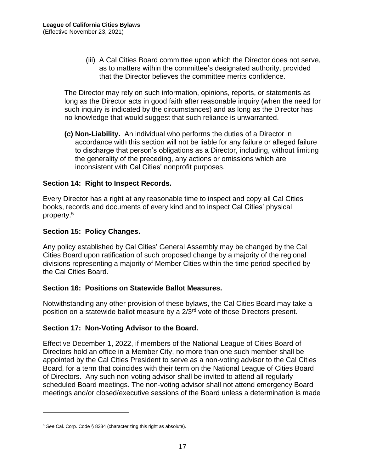(iii) A Cal Cities Board committee upon which the Director does not serve, as to matters within the committee's designated authority, provided that the Director believes the committee merits confidence.

The Director may rely on such information, opinions, reports, or statements as long as the Director acts in good faith after reasonable inquiry (when the need for such inquiry is indicated by the circumstances) and as long as the Director has no knowledge that would suggest that such reliance is unwarranted.

**(c) Non-Liability.** An individual who performs the duties of a Director in accordance with this section will not be liable for any failure or alleged failure to discharge that person's obligations as a Director, including, without limiting the generality of the preceding, any actions or omissions which are inconsistent with Cal Cities' nonprofit purposes.

#### <span id="page-20-0"></span>**Section 14: Right to Inspect Records.**

Every Director has a right at any reasonable time to inspect and copy all Cal Cities books, records and documents of every kind and to inspect Cal Cities' physical property.<sup>5</sup>

#### <span id="page-20-1"></span>**Section 15: Policy Changes.**

Any policy established by Cal Cities' General Assembly may be changed by the Cal Cities Board upon ratification of such proposed change by a majority of the regional divisions representing a majority of Member Cities within the time period specified by the Cal Cities Board.

#### <span id="page-20-2"></span>**Section 16: Positions on Statewide Ballot Measures.**

Notwithstanding any other provision of these bylaws, the Cal Cities Board may take a position on a statewide ballot measure by a 2/3rd vote of those Directors present.

#### <span id="page-20-3"></span>**Section 17: Non-Voting Advisor to the Board.**

Effective December 1, 2022, if members of the National League of Cities Board of Directors hold an office in a Member City, no more than one such member shall be appointed by the Cal Cities President to serve as a non-voting advisor to the Cal Cities Board, for a term that coincides with their term on the National League of Cities Board of Directors. Any such non-voting advisor shall be invited to attend all regularlyscheduled Board meetings. The non-voting advisor shall not attend emergency Board meetings and/or closed/executive sessions of the Board unless a determination is made

<sup>5</sup> *See* Cal. Corp. Code § 8334 (characterizing this right as absolute).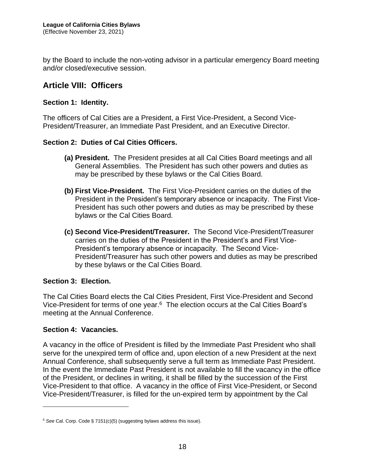by the Board to include the non-voting advisor in a particular emergency Board meeting and/or closed/executive session.

## <span id="page-21-0"></span>**Article VIII: Officers**

#### <span id="page-21-1"></span>**Section 1: Identity.**

The officers of Cal Cities are a President, a First Vice-President, a Second Vice-President/Treasurer, an Immediate Past President, and an Executive Director.

#### <span id="page-21-2"></span>**Section 2: Duties of Cal Cities Officers.**

- **(a) President.** The President presides at all Cal Cities Board meetings and all General Assemblies. The President has such other powers and duties as may be prescribed by these bylaws or the Cal Cities Board.
- **(b) First Vice-President.** The First Vice-President carries on the duties of the President in the President's temporary absence or incapacity. The First Vice-President has such other powers and duties as may be prescribed by these bylaws or the Cal Cities Board.
- **(c) Second Vice-President/Treasurer.** The Second Vice-President/Treasurer carries on the duties of the President in the President's and First Vice-President's temporary absence or incapacity. The Second Vice-President/Treasurer has such other powers and duties as may be prescribed by these bylaws or the Cal Cities Board.

#### <span id="page-21-3"></span>**Section 3: Election.**

The Cal Cities Board elects the Cal Cities President, First Vice-President and Second Vice-President for terms of one year.<sup>6</sup> The election occurs at the Cal Cities Board's meeting at the Annual Conference.

#### <span id="page-21-4"></span>**Section 4: Vacancies.**

A vacancy in the office of President is filled by the Immediate Past President who shall serve for the unexpired term of office and, upon election of a new President at the next Annual Conference, shall subsequently serve a full term as Immediate Past President. In the event the Immediate Past President is not available to fill the vacancy in the office of the President, or declines in writing, it shall be filled by the succession of the First Vice-President to that office. A vacancy in the office of First Vice-President, or Second Vice-President/Treasurer, is filled for the un-expired term by appointment by the Cal

<sup>6</sup> *See* Cal. Corp. Code § 7151(c)(5) (suggesting bylaws address this issue).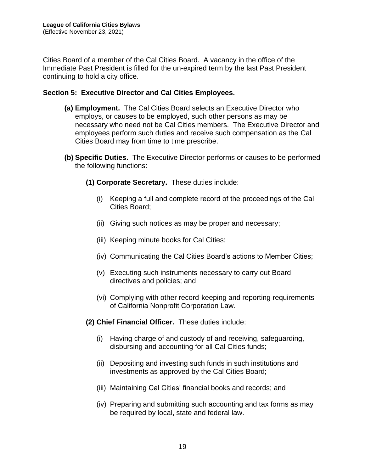Cities Board of a member of the Cal Cities Board. A vacancy in the office of the Immediate Past President is filled for the un-expired term by the last Past President continuing to hold a city office.

#### <span id="page-22-0"></span>**Section 5: Executive Director and Cal Cities Employees.**

- **(a) Employment.** The Cal Cities Board selects an Executive Director who employs, or causes to be employed, such other persons as may be necessary who need not be Cal Cities members. The Executive Director and employees perform such duties and receive such compensation as the Cal Cities Board may from time to time prescribe.
- **(b) Specific Duties.** The Executive Director performs or causes to be performed the following functions:
	- **(1) Corporate Secretary.** These duties include:
		- (i) Keeping a full and complete record of the proceedings of the Cal Cities Board;
		- (ii) Giving such notices as may be proper and necessary;
		- (iii) Keeping minute books for Cal Cities;
		- (iv) Communicating the Cal Cities Board's actions to Member Cities;
		- (v) Executing such instruments necessary to carry out Board directives and policies; and
		- (vi) Complying with other record-keeping and reporting requirements of California Nonprofit Corporation Law.
	- **(2) Chief Financial Officer.** These duties include:
		- (i) Having charge of and custody of and receiving, safeguarding, disbursing and accounting for all Cal Cities funds;
		- (ii) Depositing and investing such funds in such institutions and investments as approved by the Cal Cities Board;
		- (iii) Maintaining Cal Cities' financial books and records; and
		- (iv) Preparing and submitting such accounting and tax forms as may be required by local, state and federal law.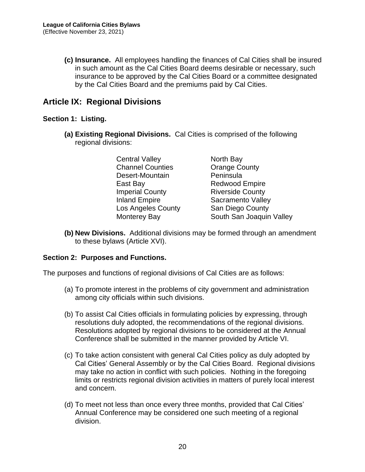**(c) Insurance.** All employees handling the finances of Cal Cities shall be insured in such amount as the Cal Cities Board deems desirable or necessary, such insurance to be approved by the Cal Cities Board or a committee designated by the Cal Cities Board and the premiums paid by Cal Cities.

## <span id="page-23-0"></span>**Article IX: Regional Divisions**

#### <span id="page-23-1"></span>**Section 1: Listing.**

**(a) Existing Regional Divisions.** Cal Cities is comprised of the following regional divisions:

| <b>Central Valley</b>   | North Bay                |
|-------------------------|--------------------------|
| <b>Channel Counties</b> | <b>Orange County</b>     |
| Desert-Mountain         | Peninsula                |
| East Bay                | <b>Redwood Empire</b>    |
| <b>Imperial County</b>  | <b>Riverside County</b>  |
| <b>Inland Empire</b>    | Sacramento Valley        |
| Los Angeles County      | San Diego County         |
| Monterey Bay            | South San Joaquin Valley |

**(b) New Divisions.** Additional divisions may be formed through an amendment to these bylaws (Article XVI).

#### <span id="page-23-2"></span>**Section 2: Purposes and Functions.**

The purposes and functions of regional divisions of Cal Cities are as follows:

- (a) To promote interest in the problems of city government and administration among city officials within such divisions.
- (b) To assist Cal Cities officials in formulating policies by expressing, through resolutions duly adopted, the recommendations of the regional divisions. Resolutions adopted by regional divisions to be considered at the Annual Conference shall be submitted in the manner provided by Article VI.
- (c) To take action consistent with general Cal Cities policy as duly adopted by Cal Cities' General Assembly or by the Cal Cities Board. Regional divisions may take no action in conflict with such policies. Nothing in the foregoing limits or restricts regional division activities in matters of purely local interest and concern.
- (d) To meet not less than once every three months, provided that Cal Cities' Annual Conference may be considered one such meeting of a regional division.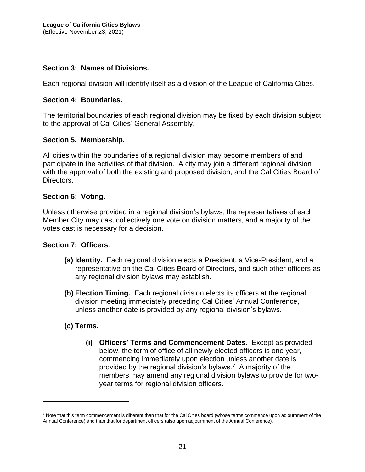#### <span id="page-24-0"></span>**Section 3: Names of Divisions.**

Each regional division will identify itself as a division of the League of California Cities.

#### <span id="page-24-1"></span>**Section 4: Boundaries.**

The territorial boundaries of each regional division may be fixed by each division subject to the approval of Cal Cities' General Assembly.

#### <span id="page-24-2"></span>**Section 5. Membership.**

All cities within the boundaries of a regional division may become members of and participate in the activities of that division. A city may join a different regional division with the approval of both the existing and proposed division, and the Cal Cities Board of Directors.

#### <span id="page-24-3"></span>**Section 6: Voting.**

Unless otherwise provided in a regional division's bylaws, the representatives of each Member City may cast collectively one vote on division matters, and a majority of the votes cast is necessary for a decision.

#### <span id="page-24-4"></span>**Section 7: Officers.**

- **(a) Identity.** Each regional division elects a President, a Vice-President, and a representative on the Cal Cities Board of Directors, and such other officers as any regional division bylaws may establish.
- **(b) Election Timing.** Each regional division elects its officers at the regional division meeting immediately preceding Cal Cities' Annual Conference, unless another date is provided by any regional division's bylaws.
- **(c) Terms.**
	- **(i) Officers' Terms and Commencement Dates.** Except as provided below, the term of office of all newly elected officers is one year, commencing immediately upon election unless another date is provided by the regional division's bylaws.<sup>7</sup> A majority of the members may amend any regional division bylaws to provide for twoyear terms for regional division officers.

 $<sup>7</sup>$  Note that this term commencement is different than that for the Cal Cities board (whose terms commence upon adjournment of the</sup> Annual Conference) and than that for department officers (also upon adjournment of the Annual Conference).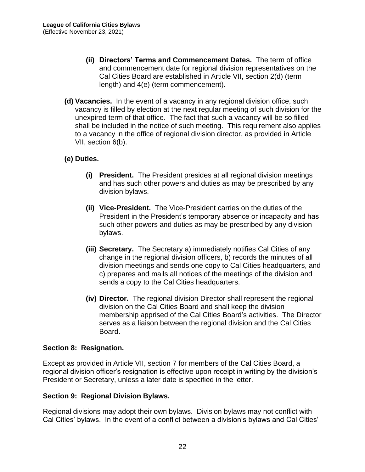- **(ii) Directors' Terms and Commencement Dates.** The term of office and commencement date for regional division representatives on the Cal Cities Board are established in Article VII, section 2(d) (term length) and 4(e) (term commencement).
- **(d) Vacancies.** In the event of a vacancy in any regional division office, such vacancy is filled by election at the next regular meeting of such division for the unexpired term of that office. The fact that such a vacancy will be so filled shall be included in the notice of such meeting. This requirement also applies to a vacancy in the office of regional division director, as provided in Article VII, section 6(b).

#### **(e) Duties.**

- **(i) President.** The President presides at all regional division meetings and has such other powers and duties as may be prescribed by any division bylaws.
- **(ii) Vice-President.** The Vice-President carries on the duties of the President in the President's temporary absence or incapacity and has such other powers and duties as may be prescribed by any division bylaws.
- **(iii) Secretary.** The Secretary a) immediately notifies Cal Cities of any change in the regional division officers, b) records the minutes of all division meetings and sends one copy to Cal Cities headquarters, and c) prepares and mails all notices of the meetings of the division and sends a copy to the Cal Cities headquarters.
- **(iv) Director.** The regional division Director shall represent the regional division on the Cal Cities Board and shall keep the division membership apprised of the Cal Cities Board's activities. The Director serves as a liaison between the regional division and the Cal Cities Board.

#### <span id="page-25-0"></span>**Section 8: Resignation.**

Except as provided in Article VII, section 7 for members of the Cal Cities Board, a regional division officer's resignation is effective upon receipt in writing by the division's President or Secretary, unless a later date is specified in the letter.

#### <span id="page-25-1"></span>**Section 9: Regional Division Bylaws.**

Regional divisions may adopt their own bylaws. Division bylaws may not conflict with Cal Cities' bylaws. In the event of a conflict between a division's bylaws and Cal Cities'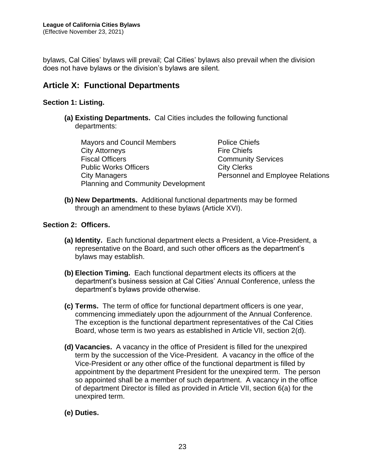bylaws, Cal Cities' bylaws will prevail; Cal Cities' bylaws also prevail when the division does not have bylaws or the division's bylaws are silent.

## <span id="page-26-0"></span>**Article X: Functional Departments**

#### <span id="page-26-1"></span>**Section 1: Listing.**

**(a) Existing Departments.** Cal Cities includes the following functional departments:

Mayors and Council Members **Police Chiefs** City Attorneys **Fire Chiefs** Fiscal Officers **Community Services** Public Works Officers **City Clerks** City Managers **Personnel and Employee Relations** Planning and Community Development

**(b) New Departments.** Additional functional departments may be formed through an amendment to these bylaws (Article XVI).

#### <span id="page-26-2"></span>**Section 2: Officers.**

- **(a) Identity.** Each functional department elects a President, a Vice-President, a representative on the Board, and such other officers as the department's bylaws may establish.
- **(b) Election Timing.** Each functional department elects its officers at the department's business session at Cal Cities' Annual Conference, unless the department's bylaws provide otherwise.
- **(c) Terms.** The term of office for functional department officers is one year, commencing immediately upon the adjournment of the Annual Conference. The exception is the functional department representatives of the Cal Cities Board, whose term is two years as established in Article VII, section 2(d).
- **(d) Vacancies.** A vacancy in the office of President is filled for the unexpired term by the succession of the Vice-President. A vacancy in the office of the Vice-President or any other office of the functional department is filled by appointment by the department President for the unexpired term. The person so appointed shall be a member of such department. A vacancy in the office of department Director is filled as provided in Article VII, section 6(a) for the unexpired term.
- **(e) Duties.**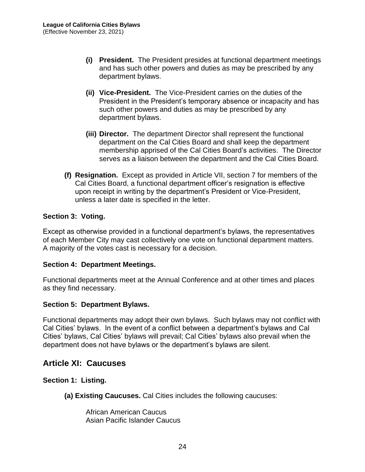- **(i) President.** The President presides at functional department meetings and has such other powers and duties as may be prescribed by any department bylaws.
- **(ii) Vice-President.** The Vice-President carries on the duties of the President in the President's temporary absence or incapacity and has such other powers and duties as may be prescribed by any department bylaws.
- **(iii) Director.** The department Director shall represent the functional department on the Cal Cities Board and shall keep the department membership apprised of the Cal Cities Board's activities. The Director serves as a liaison between the department and the Cal Cities Board.
- **(f) Resignation.** Except as provided in Article VII, section 7 for members of the Cal Cities Board, a functional department officer's resignation is effective upon receipt in writing by the department's President or Vice-President, unless a later date is specified in the letter.

#### <span id="page-27-0"></span>**Section 3: Voting.**

Except as otherwise provided in a functional department's bylaws, the representatives of each Member City may cast collectively one vote on functional department matters. A majority of the votes cast is necessary for a decision.

#### <span id="page-27-1"></span>**Section 4: Department Meetings.**

Functional departments meet at the Annual Conference and at other times and places as they find necessary.

#### <span id="page-27-2"></span>**Section 5: Department Bylaws.**

Functional departments may adopt their own bylaws. Such bylaws may not conflict with Cal Cities' bylaws. In the event of a conflict between a department's bylaws and Cal Cities' bylaws, Cal Cities' bylaws will prevail; Cal Cities' bylaws also prevail when the department does not have bylaws or the department's bylaws are silent.

## <span id="page-27-3"></span>**Article XI: Caucuses**

<span id="page-27-4"></span>**Section 1: Listing.**

**(a) Existing Caucuses.** Cal Cities includes the following caucuses:

African American Caucus Asian Pacific Islander Caucus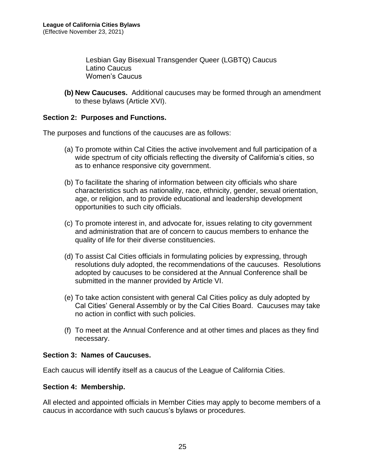Lesbian Gay Bisexual Transgender Queer (LGBTQ) Caucus Latino Caucus Women's Caucus

**(b) New Caucuses.** Additional caucuses may be formed through an amendment to these bylaws (Article XVI).

#### <span id="page-28-0"></span>**Section 2: Purposes and Functions.**

The purposes and functions of the caucuses are as follows:

- (a) To promote within Cal Cities the active involvement and full participation of a wide spectrum of city officials reflecting the diversity of California's cities, so as to enhance responsive city government.
- (b) To facilitate the sharing of information between city officials who share characteristics such as nationality, race, ethnicity, gender, sexual orientation, age, or religion, and to provide educational and leadership development opportunities to such city officials.
- (c) To promote interest in, and advocate for, issues relating to city government and administration that are of concern to caucus members to enhance the quality of life for their diverse constituencies.
- (d) To assist Cal Cities officials in formulating policies by expressing, through resolutions duly adopted, the recommendations of the caucuses. Resolutions adopted by caucuses to be considered at the Annual Conference shall be submitted in the manner provided by Article VI.
- (e) To take action consistent with general Cal Cities policy as duly adopted by Cal Cities' General Assembly or by the Cal Cities Board. Caucuses may take no action in conflict with such policies.
- (f) To meet at the Annual Conference and at other times and places as they find necessary.

#### <span id="page-28-1"></span>**Section 3: Names of Caucuses.**

Each caucus will identify itself as a caucus of the League of California Cities.

#### <span id="page-28-2"></span>**Section 4: Membership.**

All elected and appointed officials in Member Cities may apply to become members of a caucus in accordance with such caucus's bylaws or procedures.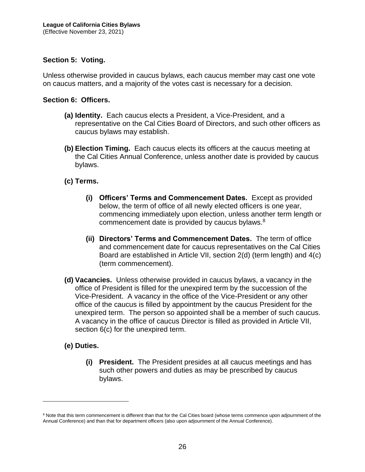#### <span id="page-29-0"></span>**Section 5: Voting.**

Unless otherwise provided in caucus bylaws, each caucus member may cast one vote on caucus matters, and a majority of the votes cast is necessary for a decision.

#### <span id="page-29-1"></span>**Section 6: Officers.**

- **(a) Identity.** Each caucus elects a President, a Vice-President, and a representative on the Cal Cities Board of Directors, and such other officers as caucus bylaws may establish.
- **(b) Election Timing.** Each caucus elects its officers at the caucus meeting at the Cal Cities Annual Conference, unless another date is provided by caucus bylaws.
- **(c) Terms.**
	- **(i) Officers' Terms and Commencement Dates.** Except as provided below, the term of office of all newly elected officers is one year, commencing immediately upon election, unless another term length or commencement date is provided by caucus bylaws.<sup>8</sup>
	- **(ii) Directors' Terms and Commencement Dates.** The term of office and commencement date for caucus representatives on the Cal Cities Board are established in Article VII, section 2(d) (term length) and 4(c) (term commencement).
- **(d) Vacancies.** Unless otherwise provided in caucus bylaws, a vacancy in the office of President is filled for the unexpired term by the succession of the Vice-President. A vacancy in the office of the Vice-President or any other office of the caucus is filled by appointment by the caucus President for the unexpired term. The person so appointed shall be a member of such caucus. A vacancy in the office of caucus Director is filled as provided in Article VII, section  $6(c)$  for the unexpired term.

#### **(e) Duties.**

**(i) President.** The President presides at all caucus meetings and has such other powers and duties as may be prescribed by caucus bylaws.

<sup>&</sup>lt;sup>8</sup> Note that this term commencement is different than that for the Cal Cities board (whose terms commence upon adjournment of the Annual Conference) and than that for department officers (also upon adjournment of the Annual Conference).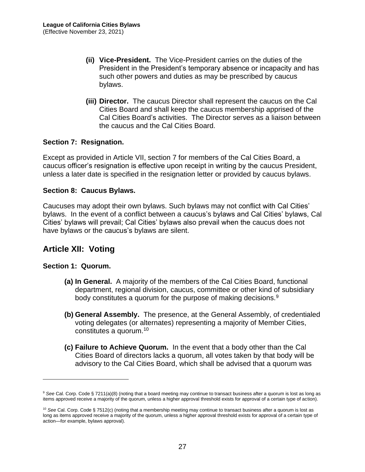- **(ii) Vice-President.** The Vice-President carries on the duties of the President in the President's temporary absence or incapacity and has such other powers and duties as may be prescribed by caucus bylaws.
- **(iii) Director.** The caucus Director shall represent the caucus on the Cal Cities Board and shall keep the caucus membership apprised of the Cal Cities Board's activities. The Director serves as a liaison between the caucus and the Cal Cities Board.

#### <span id="page-30-0"></span>**Section 7: Resignation.**

Except as provided in Article VII, section 7 for members of the Cal Cities Board, a caucus officer's resignation is effective upon receipt in writing by the caucus President, unless a later date is specified in the resignation letter or provided by caucus bylaws.

#### <span id="page-30-1"></span>**Section 8: Caucus Bylaws.**

Caucuses may adopt their own bylaws. Such bylaws may not conflict with Cal Cities' bylaws. In the event of a conflict between a caucus's bylaws and Cal Cities' bylaws, Cal Cities' bylaws will prevail; Cal Cities' bylaws also prevail when the caucus does not have bylaws or the caucus's bylaws are silent.

## <span id="page-30-2"></span>**Article XII: Voting**

#### <span id="page-30-3"></span>**Section 1: Quorum.**

- **(a) In General.** A majority of the members of the Cal Cities Board, functional department, regional division, caucus, committee or other kind of subsidiary body constitutes a quorum for the purpose of making decisions.<sup>9</sup>
- **(b) General Assembly.** The presence, at the General Assembly, of credentialed voting delegates (or alternates) representing a majority of Member Cities, constitutes a quorum.<sup>10</sup>
- **(c) Failure to Achieve Quorum.** In the event that a body other than the Cal Cities Board of directors lacks a quorum, all votes taken by that body will be advisory to the Cal Cities Board, which shall be advised that a quorum was

<sup>9</sup> *See* Cal. Corp. Code § 7211(a)(8) (noting that a board meeting may continue to transact business after a quorum is lost as long as items approved receive a majority of the quorum, unless a higher approval threshold exists for approval of a certain type of action).

<sup>&</sup>lt;sup>10</sup> See Cal. Corp. Code § 7512(c) (noting that a membership meeting may continue to transact business after a quorum is lost as long as items approved receive a majority of the quorum, unless a higher approval threshold exists for approval of a certain type of action—for example, bylaws approval).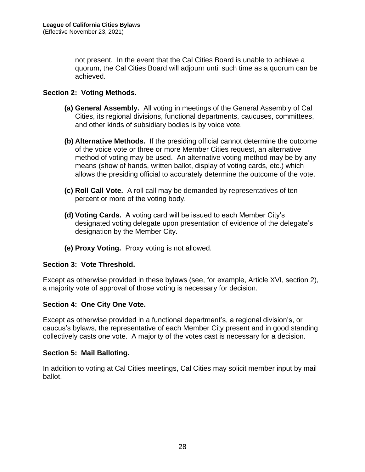not present. In the event that the Cal Cities Board is unable to achieve a quorum, the Cal Cities Board will adjourn until such time as a quorum can be achieved.

#### <span id="page-31-0"></span>**Section 2: Voting Methods.**

- **(a) General Assembly.** All voting in meetings of the General Assembly of Cal Cities, its regional divisions, functional departments, caucuses, committees, and other kinds of subsidiary bodies is by voice vote.
- **(b) Alternative Methods.** If the presiding official cannot determine the outcome of the voice vote or three or more Member Cities request, an alternative method of voting may be used. An alternative voting method may be by any means (show of hands, written ballot, display of voting cards, etc.) which allows the presiding official to accurately determine the outcome of the vote.
- **(c) Roll Call Vote.** A roll call may be demanded by representatives of ten percent or more of the voting body.
- **(d) Voting Cards.** A voting card will be issued to each Member City's designated voting delegate upon presentation of evidence of the delegate's designation by the Member City.
- **(e) Proxy Voting.** Proxy voting is not allowed.

#### <span id="page-31-1"></span>**Section 3: Vote Threshold.**

Except as otherwise provided in these bylaws (see, for example, Article XVI, section 2), a majority vote of approval of those voting is necessary for decision.

#### <span id="page-31-2"></span>**Section 4: One City One Vote.**

Except as otherwise provided in a functional department's, a regional division's, or caucus's bylaws, the representative of each Member City present and in good standing collectively casts one vote. A majority of the votes cast is necessary for a decision.

#### <span id="page-31-3"></span>**Section 5: Mail Balloting.**

In addition to voting at Cal Cities meetings, Cal Cities may solicit member input by mail ballot.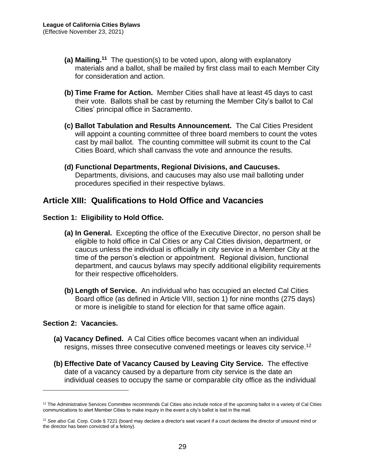- **(a) Mailing.<sup>11</sup>** The question(s) to be voted upon, along with explanatory materials and a ballot, shall be mailed by first class mail to each Member City for consideration and action.
- **(b) Time Frame for Action.** Member Cities shall have at least 45 days to cast their vote. Ballots shall be cast by returning the Member City's ballot to Cal Cities' principal office in Sacramento.
- **(c) Ballot Tabulation and Results Announcement.** The Cal Cities President will appoint a counting committee of three board members to count the votes cast by mail ballot. The counting committee will submit its count to the Cal Cities Board, which shall canvass the vote and announce the results.
- **(d) Functional Departments, Regional Divisions, and Caucuses.**  Departments, divisions, and caucuses may also use mail balloting under procedures specified in their respective bylaws.

## <span id="page-32-0"></span>**Article XIII: Qualifications to Hold Office and Vacancies**

#### <span id="page-32-1"></span>**Section 1: Eligibility to Hold Office.**

- **(a) In General.** Excepting the office of the Executive Director, no person shall be eligible to hold office in Cal Cities or any Cal Cities division, department, or caucus unless the individual is officially in city service in a Member City at the time of the person's election or appointment. Regional division, functional department, and caucus bylaws may specify additional eligibility requirements for their respective officeholders.
- **(b) Length of Service.** An individual who has occupied an elected Cal Cities Board office (as defined in Article VIII, section 1) for nine months (275 days) or more is ineligible to stand for election for that same office again.

#### <span id="page-32-2"></span>**Section 2: Vacancies.**

- **(a) Vacancy Defined.** A Cal Cities office becomes vacant when an individual resigns, misses three consecutive convened meetings or leaves city service.<sup>12</sup>
- **(b) Effective Date of Vacancy Caused by Leaving City Service.** The effective date of a vacancy caused by a departure from city service is the date an individual ceases to occupy the same or comparable city office as the individual

<sup>&</sup>lt;sup>11</sup> The Administrative Services Committee recommends Cal Cities also include notice of the upcoming ballot in a variety of Cal Cities communications to alert Member Cities to make inquiry in the event a city's ballot is lost in the mail.

<sup>12</sup> *See also* Cal. Corp. Code § 7221 (board may declare a director's seat vacant if a court declares the director of unsound mind or the director has been convicted of a felony).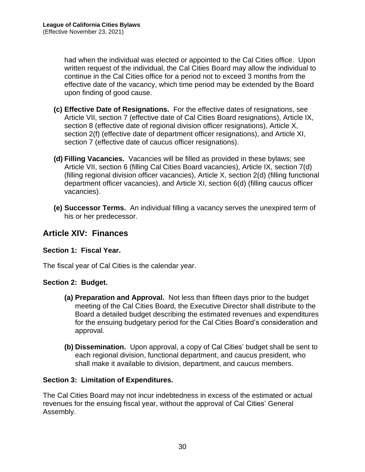had when the individual was elected or appointed to the Cal Cities office. Upon written request of the individual, the Cal Cities Board may allow the individual to continue in the Cal Cities office for a period not to exceed 3 months from the effective date of the vacancy, which time period may be extended by the Board upon finding of good cause.

- **(c) Effective Date of Resignations.** For the effective dates of resignations, see Article VII, section 7 (effective date of Cal Cities Board resignations), Article IX, section 8 (effective date of regional division officer resignations), Article X, section 2(f) (effective date of department officer resignations), and Article XI, section 7 (effective date of caucus officer resignations).
- **(d) Filling Vacancies.** Vacancies will be filled as provided in these bylaws; see Article VII, section 6 (filling Cal Cities Board vacancies), Article IX, section 7(d) (filling regional division officer vacancies), Article X, section 2(d) (filling functional department officer vacancies), and Article XI, section 6(d) (filling caucus officer vacancies).
- **(e) Successor Terms.** An individual filling a vacancy serves the unexpired term of his or her predecessor.

## <span id="page-33-0"></span>**Article XIV: Finances**

#### <span id="page-33-1"></span>**Section 1: Fiscal Year.**

The fiscal year of Cal Cities is the calendar year.

#### <span id="page-33-2"></span>**Section 2: Budget.**

- **(a) Preparation and Approval.** Not less than fifteen days prior to the budget meeting of the Cal Cities Board, the Executive Director shall distribute to the Board a detailed budget describing the estimated revenues and expenditures for the ensuing budgetary period for the Cal Cities Board's consideration and approval.
- **(b) Dissemination.** Upon approval, a copy of Cal Cities' budget shall be sent to each regional division, functional department, and caucus president, who shall make it available to division, department, and caucus members.

#### <span id="page-33-3"></span>**Section 3: Limitation of Expenditures.**

The Cal Cities Board may not incur indebtedness in excess of the estimated or actual revenues for the ensuing fiscal year, without the approval of Cal Cities' General Assembly.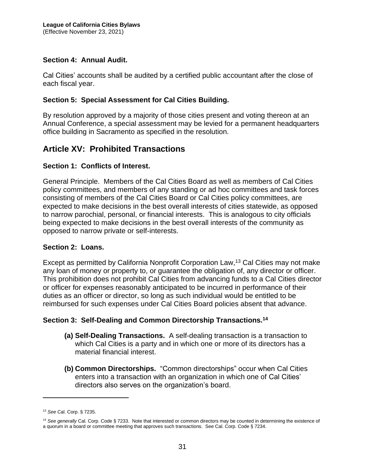#### <span id="page-34-0"></span>**Section 4: Annual Audit.**

Cal Cities' accounts shall be audited by a certified public accountant after the close of each fiscal year.

#### <span id="page-34-1"></span>**Section 5: Special Assessment for Cal Cities Building.**

By resolution approved by a majority of those cities present and voting thereon at an Annual Conference, a special assessment may be levied for a permanent headquarters office building in Sacramento as specified in the resolution.

## <span id="page-34-2"></span>**Article XV: Prohibited Transactions**

#### <span id="page-34-3"></span>**Section 1: Conflicts of Interest.**

General Principle. Members of the Cal Cities Board as well as members of Cal Cities policy committees, and members of any standing or ad hoc committees and task forces consisting of members of the Cal Cities Board or Cal Cities policy committees, are expected to make decisions in the best overall interests of cities statewide, as opposed to narrow parochial, personal, or financial interests. This is analogous to city officials being expected to make decisions in the best overall interests of the community as opposed to narrow private or self-interests.

#### <span id="page-34-4"></span>**Section 2: Loans.**

Except as permitted by California Nonprofit Corporation Law,<sup>13</sup> Cal Cities may not make any loan of money or property to, or guarantee the obligation of, any director or officer. This prohibition does not prohibit Cal Cities from advancing funds to a Cal Cities director or officer for expenses reasonably anticipated to be incurred in performance of their duties as an officer or director, so long as such individual would be entitled to be reimbursed for such expenses under Cal Cities Board policies absent that advance.

#### <span id="page-34-5"></span>**Section 3: Self-Dealing and Common Directorship Transactions.<sup>14</sup>**

- **(a) Self-Dealing Transactions.** A self-dealing transaction is a transaction to which Cal Cities is a party and in which one or more of its directors has a material financial interest.
- **(b) Common Directorships.** "Common directorships" occur when Cal Cities enters into a transaction with an organization in which one of Cal Cities' directors also serves on the organization's board.

<sup>13</sup> *See* Cal. Corp. § 7235.

<sup>14</sup> *See generally* Cal. Corp. Code § 7233. Note that interested or common directors may be counted in determining the existence of a quorum in a board or committee meeting that approves such transactions. See Cal. Corp. Code § 7234.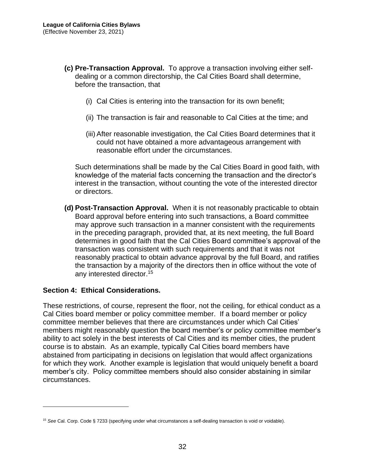- **(c) Pre-Transaction Approval.** To approve a transaction involving either selfdealing or a common directorship, the Cal Cities Board shall determine, before the transaction, that
	- (i) Cal Cities is entering into the transaction for its own benefit;
	- (ii) The transaction is fair and reasonable to Cal Cities at the time; and
	- (iii) After reasonable investigation, the Cal Cities Board determines that it could not have obtained a more advantageous arrangement with reasonable effort under the circumstances.

Such determinations shall be made by the Cal Cities Board in good faith, with knowledge of the material facts concerning the transaction and the director's interest in the transaction, without counting the vote of the interested director or directors.

**(d) Post-Transaction Approval.** When it is not reasonably practicable to obtain Board approval before entering into such transactions, a Board committee may approve such transaction in a manner consistent with the requirements in the preceding paragraph, provided that, at its next meeting, the full Board determines in good faith that the Cal Cities Board committee's approval of the transaction was consistent with such requirements and that it was not reasonably practical to obtain advance approval by the full Board, and ratifies the transaction by a majority of the directors then in office without the vote of any interested director.<sup>15</sup>

#### <span id="page-35-0"></span>**Section 4: Ethical Considerations.**

These restrictions, of course, represent the floor, not the ceiling, for ethical conduct as a Cal Cities board member or policy committee member. If a board member or policy committee member believes that there are circumstances under which Cal Cities' members might reasonably question the board member's or policy committee member's ability to act solely in the best interests of Cal Cities and its member cities, the prudent course is to abstain. As an example, typically Cal Cities board members have abstained from participating in decisions on legislation that would affect organizations for which they work. Another example is legislation that would uniquely benefit a board member's city. Policy committee members should also consider abstaining in similar circumstances.

<sup>15</sup> *See* Cal. Corp. Code § 7233 (specifying under what circumstances a self-dealing transaction is void or voidable).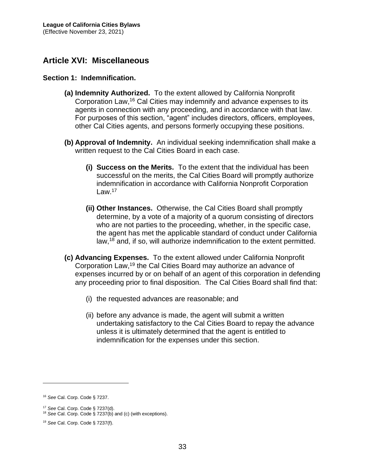## <span id="page-36-0"></span>**Article XVI: Miscellaneous**

#### <span id="page-36-1"></span>**Section 1: Indemnification.**

- **(a) Indemnity Authorized.** To the extent allowed by California Nonprofit Corporation Law,<sup>16</sup> Cal Cities may indemnify and advance expenses to its agents in connection with any proceeding, and in accordance with that law. For purposes of this section, "agent" includes directors, officers, employees, other Cal Cities agents, and persons formerly occupying these positions.
- **(b) Approval of Indemnity.** An individual seeking indemnification shall make a written request to the Cal Cities Board in each case.
	- **(i) Success on the Merits.** To the extent that the individual has been successful on the merits, the Cal Cities Board will promptly authorize indemnification in accordance with California Nonprofit Corporation  $Law<sup>17</sup>$
	- **(ii) Other Instances.** Otherwise, the Cal Cities Board shall promptly determine, by a vote of a majority of a quorum consisting of directors who are not parties to the proceeding, whether, in the specific case, the agent has met the applicable standard of conduct under California law,<sup>18</sup> and, if so, will authorize indemnification to the extent permitted.
- **(c) Advancing Expenses.** To the extent allowed under California Nonprofit Corporation Law,<sup>19</sup> the Cal Cities Board may authorize an advance of expenses incurred by or on behalf of an agent of this corporation in defending any proceeding prior to final disposition. The Cal Cities Board shall find that:
	- (i) the requested advances are reasonable; and
	- (ii) before any advance is made, the agent will submit a written undertaking satisfactory to the Cal Cities Board to repay the advance unless it is ultimately determined that the agent is entitled to indemnification for the expenses under this section.

<sup>16</sup> *See* Cal. Corp. Code § 7237.

<sup>17</sup> *See* Cal. Corp. Code § 7237(d).

<sup>18</sup> *See* Cal. Corp. Code § 7237(b) and (c) (with exceptions).

<sup>19</sup> *See* Cal. Corp. Code § 7237(f).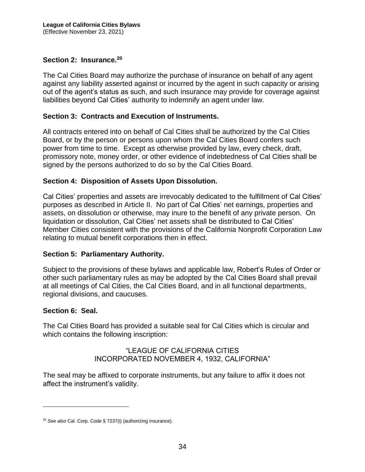#### <span id="page-37-0"></span>**Section 2: Insurance.<sup>20</sup>**

The Cal Cities Board may authorize the purchase of insurance on behalf of any agent against any liability asserted against or incurred by the agent in such capacity or arising out of the agent's status as such, and such insurance may provide for coverage against liabilities beyond Cal Cities' authority to indemnify an agent under law.

#### <span id="page-37-1"></span>**Section 3: Contracts and Execution of Instruments.**

All contracts entered into on behalf of Cal Cities shall be authorized by the Cal Cities Board, or by the person or persons upon whom the Cal Cities Board confers such power from time to time. Except as otherwise provided by law, every check, draft, promissory note, money order, or other evidence of indebtedness of Cal Cities shall be signed by the persons authorized to do so by the Cal Cities Board.

#### <span id="page-37-2"></span>**Section 4: Disposition of Assets Upon Dissolution.**

Cal Cities' properties and assets are irrevocably dedicated to the fulfillment of Cal Cities' purposes as described in Article II. No part of Cal Cities' net earnings, properties and assets, on dissolution or otherwise, may inure to the benefit of any private person. On liquidation or dissolution, Cal Cities' net assets shall be distributed to Cal Cities' Member Cities consistent with the provisions of the California Nonprofit Corporation Law relating to mutual benefit corporations then in effect.

#### <span id="page-37-3"></span>**Section 5: Parliamentary Authority.**

Subject to the provisions of these bylaws and applicable law, Robert's Rules of Order or other such parliamentary rules as may be adopted by the Cal Cities Board shall prevail at all meetings of Cal Cities, the Cal Cities Board, and in all functional departments, regional divisions, and caucuses.

#### <span id="page-37-4"></span>**Section 6: Seal.**

The Cal Cities Board has provided a suitable seal for Cal Cities which is circular and which contains the following inscription:

#### "LEAGUE OF CALIFORNIA CITIES INCORPORATED NOVEMBER 4, 1932, CALIFORNIA"

The seal may be affixed to corporate instruments, but any failure to affix it does not affect the instrument's validity.

<sup>20</sup> *See also* Cal. Corp. Code § 7237(i) (authorizing insurance).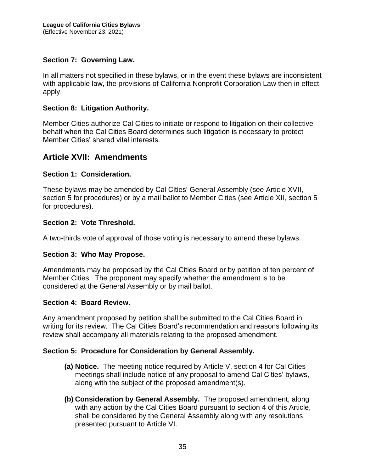#### <span id="page-38-0"></span>**Section 7: Governing Law.**

In all matters not specified in these bylaws, or in the event these bylaws are inconsistent with applicable law, the provisions of California Nonprofit Corporation Law then in effect apply.

#### <span id="page-38-1"></span>**Section 8: Litigation Authority.**

Member Cities authorize Cal Cities to initiate or respond to litigation on their collective behalf when the Cal Cities Board determines such litigation is necessary to protect Member Cities' shared vital interests.

#### <span id="page-38-2"></span>**Article XVII: Amendments**

#### <span id="page-38-3"></span>**Section 1: Consideration.**

These bylaws may be amended by Cal Cities' General Assembly (see Article XVII, section 5 for procedures) or by a mail ballot to Member Cities (see Article XII, section 5 for procedures).

#### <span id="page-38-4"></span>**Section 2: Vote Threshold.**

A two-thirds vote of approval of those voting is necessary to amend these bylaws.

#### <span id="page-38-5"></span>**Section 3: Who May Propose.**

Amendments may be proposed by the Cal Cities Board or by petition of ten percent of Member Cities. The proponent may specify whether the amendment is to be considered at the General Assembly or by mail ballot.

#### <span id="page-38-6"></span>**Section 4: Board Review.**

Any amendment proposed by petition shall be submitted to the Cal Cities Board in writing for its review. The Cal Cities Board's recommendation and reasons following its review shall accompany all materials relating to the proposed amendment.

#### <span id="page-38-7"></span>**Section 5: Procedure for Consideration by General Assembly.**

- **(a) Notice.** The meeting notice required by Article V, section 4 for Cal Cities meetings shall include notice of any proposal to amend Cal Cities' bylaws, along with the subject of the proposed amendment(s).
- **(b) Consideration by General Assembly.** The proposed amendment, along with any action by the Cal Cities Board pursuant to section 4 of this Article, shall be considered by the General Assembly along with any resolutions presented pursuant to Article VI.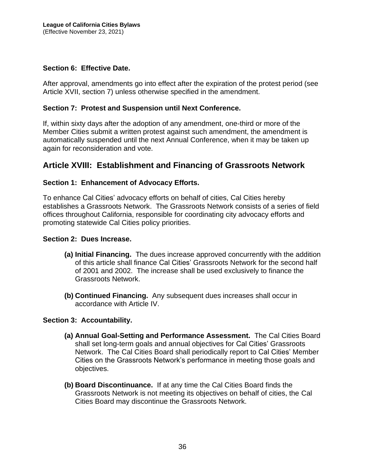#### <span id="page-39-0"></span>**Section 6: Effective Date.**

After approval, amendments go into effect after the expiration of the protest period (see Article XVII, section 7) unless otherwise specified in the amendment.

#### <span id="page-39-1"></span>**Section 7: Protest and Suspension until Next Conference.**

If, within sixty days after the adoption of any amendment, one-third or more of the Member Cities submit a written protest against such amendment, the amendment is automatically suspended until the next Annual Conference, when it may be taken up again for reconsideration and vote.

## <span id="page-39-2"></span>**Article XVIII: Establishment and Financing of Grassroots Network**

#### <span id="page-39-3"></span>**Section 1: Enhancement of Advocacy Efforts.**

To enhance Cal Cities' advocacy efforts on behalf of cities, Cal Cities hereby establishes a Grassroots Network. The Grassroots Network consists of a series of field offices throughout California, responsible for coordinating city advocacy efforts and promoting statewide Cal Cities policy priorities.

#### <span id="page-39-4"></span>**Section 2: Dues Increase.**

- **(a) Initial Financing.** The dues increase approved concurrently with the addition of this article shall finance Cal Cities' Grassroots Network for the second half of 2001 and 2002. The increase shall be used exclusively to finance the Grassroots Network.
- **(b) Continued Financing.** Any subsequent dues increases shall occur in accordance with Article IV.

#### <span id="page-39-5"></span>**Section 3: Accountability.**

- **(a) Annual Goal-Setting and Performance Assessment.** The Cal Cities Board shall set long-term goals and annual objectives for Cal Cities' Grassroots Network. The Cal Cities Board shall periodically report to Cal Cities' Member Cities on the Grassroots Network's performance in meeting those goals and objectives.
- **(b) Board Discontinuance.** If at any time the Cal Cities Board finds the Grassroots Network is not meeting its objectives on behalf of cities, the Cal Cities Board may discontinue the Grassroots Network.